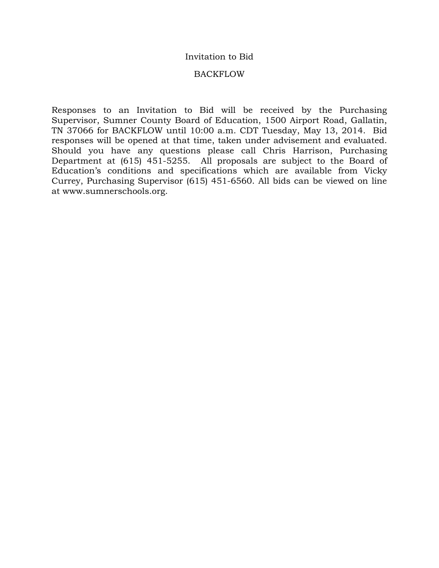## Invitation to Bid

### BACKFLOW

Responses to an Invitation to Bid will be received by the Purchasing Supervisor, Sumner County Board of Education, 1500 Airport Road, Gallatin, TN 37066 for BACKFLOW until 10:00 a.m. CDT Tuesday, May 13, 2014. Bid responses will be opened at that time, taken under advisement and evaluated. Should you have any questions please call Chris Harrison, Purchasing Department at (615) 451-5255. All proposals are subject to the Board of Education's conditions and specifications which are available from Vicky Currey, Purchasing Supervisor (615) 451-6560. All bids can be viewed on line at www.sumnerschools.org.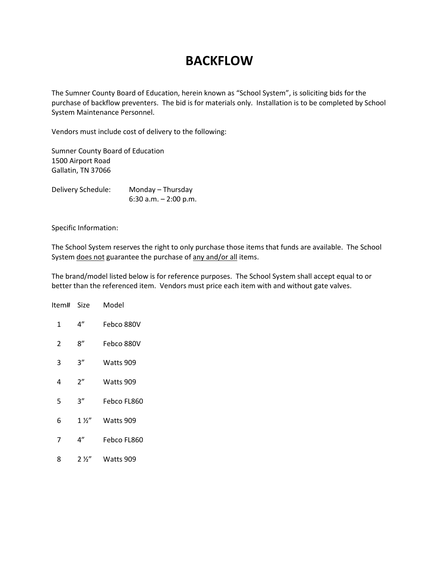# **BACKFLOW**

The Sumner County Board of Education, herein known as "School System", is soliciting bids for the purchase of backflow preventers. The bid is for materials only. Installation is to be completed by School System Maintenance Personnel.

Vendors must include cost of delivery to the following:

Sumner County Board of Education 1500 Airport Road Gallatin, TN 37066

Delivery Schedule: Monday – Thursday 6:30 a.m. – 2:00 p.m.

Specific Information:

The School System reserves the right to only purchase those items that funds are available. The School System does not guarantee the purchase of any and/or all items.

The brand/model listed below is for reference purposes. The School System shall accept equal to or better than the referenced item. Vendors must price each item with and without gate valves.

| Item# | Size           | Model       |
|-------|----------------|-------------|
| 1     | 4"             | Febco 880V  |
| 2     | ጸ"             | Febco 880V  |
| 3     | 3″             | Watts 909   |
| 4     | 2"             | Watts 909   |
| 5     | 3″             | Febco FL860 |
| 6     | $1\frac{1}{2}$ | Watts 909   |
| 7     | 4"             | Febco FL860 |
| 8     | $2\frac{1}{2}$ | Watts 909   |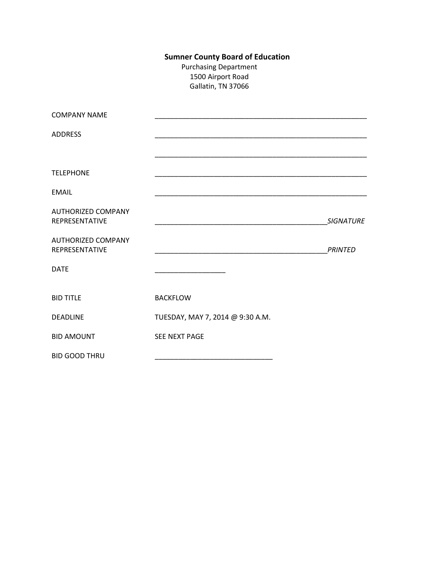# **Sumner County Board of Education**

Purchasing Department 1500 Airport Road Gallatin, TN 37066

| <b>COMPANY NAME</b>                         |                                  |                  |
|---------------------------------------------|----------------------------------|------------------|
| <b>ADDRESS</b>                              |                                  |                  |
|                                             |                                  |                  |
| <b>TELEPHONE</b>                            |                                  |                  |
| EMAIL                                       |                                  |                  |
| <b>AUTHORIZED COMPANY</b>                   |                                  |                  |
| REPRESENTATIVE                              |                                  | <b>SIGNATURE</b> |
| <b>AUTHORIZED COMPANY</b><br>REPRESENTATIVE |                                  | <b>PRINTED</b>   |
| <b>DATE</b>                                 |                                  |                  |
|                                             |                                  |                  |
| <b>BID TITLE</b>                            | <b>BACKFLOW</b>                  |                  |
| <b>DEADLINE</b>                             | TUESDAY, MAY 7, 2014 @ 9:30 A.M. |                  |
| <b>BID AMOUNT</b>                           | SEE NEXT PAGE                    |                  |
| <b>BID GOOD THRU</b>                        |                                  |                  |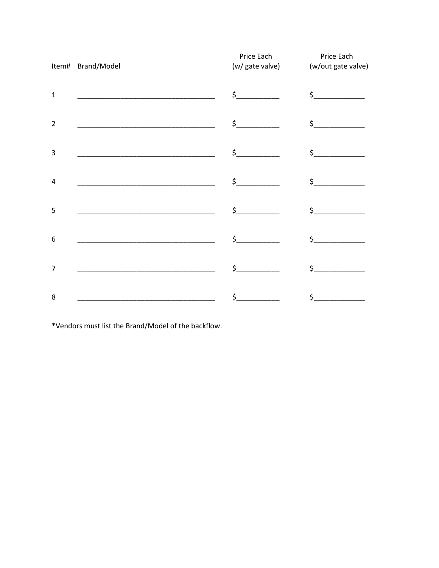|                | Item# Brand/Model                                                | Price Each                                                                                                                                                                                                                                                                                                                                                                                                                                                                                                                                                                                                                                                                                                                                     | Price Each<br>(w/ gate valve) (w/out gate valve) |
|----------------|------------------------------------------------------------------|------------------------------------------------------------------------------------------------------------------------------------------------------------------------------------------------------------------------------------------------------------------------------------------------------------------------------------------------------------------------------------------------------------------------------------------------------------------------------------------------------------------------------------------------------------------------------------------------------------------------------------------------------------------------------------------------------------------------------------------------|--------------------------------------------------|
| $\mathbf 1$    |                                                                  | $\frac{1}{2}$                                                                                                                                                                                                                                                                                                                                                                                                                                                                                                                                                                                                                                                                                                                                  | $\frac{1}{2}$                                    |
| $\overline{2}$ |                                                                  | $\frac{1}{2}$                                                                                                                                                                                                                                                                                                                                                                                                                                                                                                                                                                                                                                                                                                                                  | $\sharp$                                         |
| 3              |                                                                  | $\frac{1}{2}$                                                                                                                                                                                                                                                                                                                                                                                                                                                                                                                                                                                                                                                                                                                                  | $\frac{1}{2}$                                    |
| $\overline{4}$ | <u> 1980 - Jan James James Barnett, fransk politik (d. 1980)</u> | $\begin{array}{c} \n \uparrow \quad \quad \quad \downarrow \quad \quad \quad \quad \downarrow \quad \quad \quad \downarrow \quad \quad \quad \downarrow \quad \quad \quad \downarrow \quad \quad \downarrow \quad \quad \downarrow \quad \quad \downarrow \quad \quad \downarrow \quad \quad \downarrow \quad \quad \downarrow \quad \quad \downarrow \quad \quad \downarrow \quad \quad \downarrow \quad \quad \downarrow \quad \quad \downarrow \quad \downarrow \quad \downarrow \quad \downarrow \quad \downarrow \quad \downarrow \quad \downarrow \quad \downarrow \quad \downarrow \quad \downarrow \quad \downarrow \quad \downarrow \quad \downarrow \quad \downarrow \quad \downarrow \quad \downarrow \quad \downarrow \quad \down$ | $\frac{1}{2}$                                    |
| 5              |                                                                  | $\frac{1}{2}$                                                                                                                                                                                                                                                                                                                                                                                                                                                                                                                                                                                                                                                                                                                                  | $\sharp$                                         |
| 6              |                                                                  | $\frac{1}{2}$                                                                                                                                                                                                                                                                                                                                                                                                                                                                                                                                                                                                                                                                                                                                  | $\frac{1}{2}$                                    |
| 7              |                                                                  | $\frac{1}{2}$                                                                                                                                                                                                                                                                                                                                                                                                                                                                                                                                                                                                                                                                                                                                  | $\zeta$                                          |
| 8              | <u> 1989 - Johann Barbara, martxa alemaniar a</u>                | $\begin{picture}(20,20) \put(0,0){\line(1,0){10}} \put(15,0){\line(1,0){10}} \put(15,0){\line(1,0){10}} \put(15,0){\line(1,0){10}} \put(15,0){\line(1,0){10}} \put(15,0){\line(1,0){10}} \put(15,0){\line(1,0){10}} \put(15,0){\line(1,0){10}} \put(15,0){\line(1,0){10}} \put(15,0){\line(1,0){10}} \put(15,0){\line(1,0){10}} \put(15,0){\line(1$                                                                                                                                                                                                                                                                                                                                                                                            | $\zeta$                                          |

\*Vendors must list the Brand/Model of the backflow.